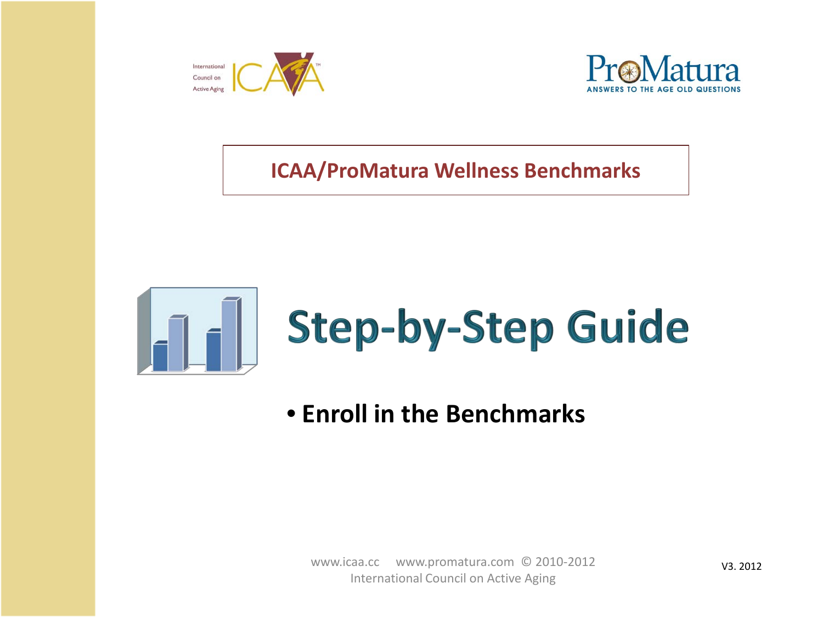



**ICAA/ProMatura Wellness Benchmarks**





• **Enroll in the Benchmarks**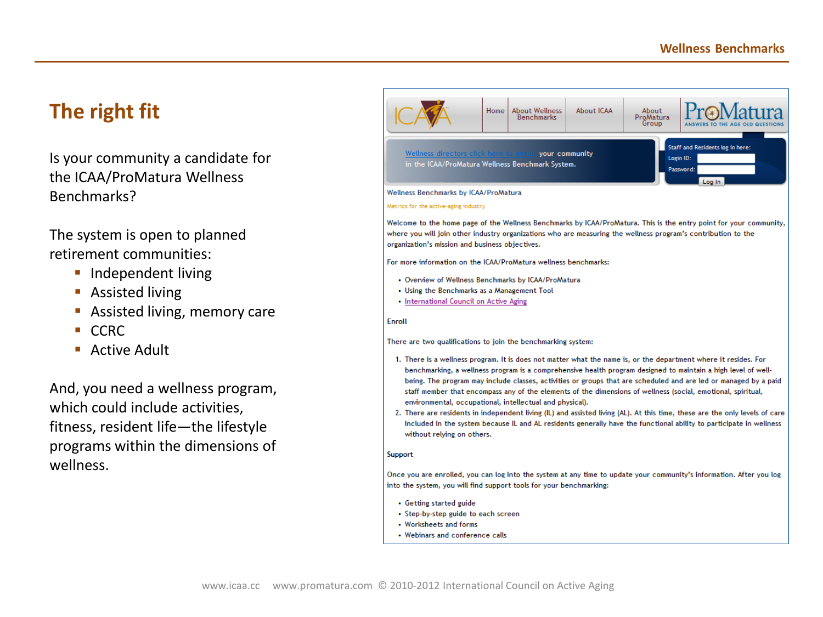# **The right fit**

Is your community a candidate for the ICAA/ProMatura Wellness Benchmarks?

The system is open to planned retirement communities:

- **Independent living**
- Assisted living
- **Assisted living, memory care**
- CCRC
- **Active Adult**

And, you need a wellness program, which could include activities, fitness, resident life—the lifestyle programs within the dimensions of wellness.

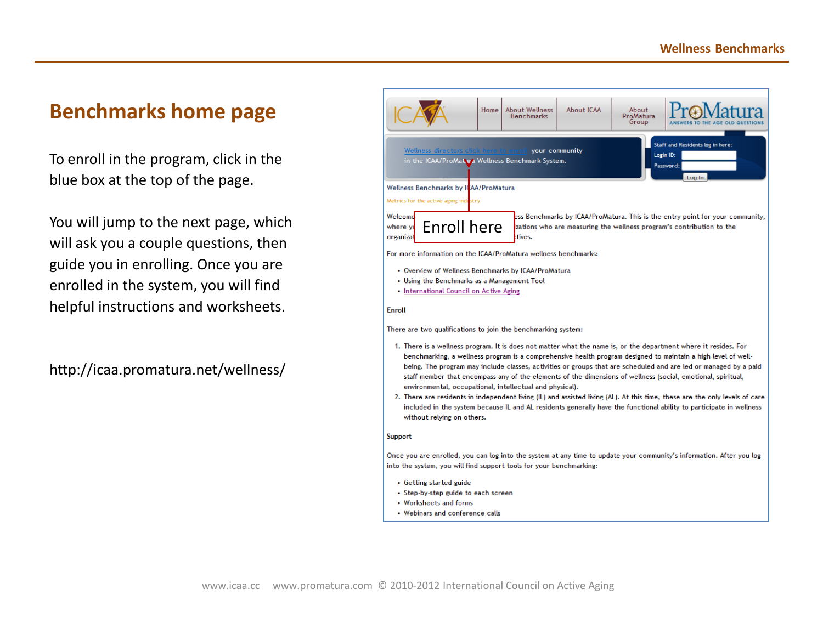#### **Benchmarks home page**

To enroll in the program, click in the blue box at the top of the page.

You will jump to the next page, which will ask you a couple questions, then guide you in enrolling. Once you are enrolled in the system, you will find helpful instructions and worksheets.

http://icaa.promatura.net/wellness/

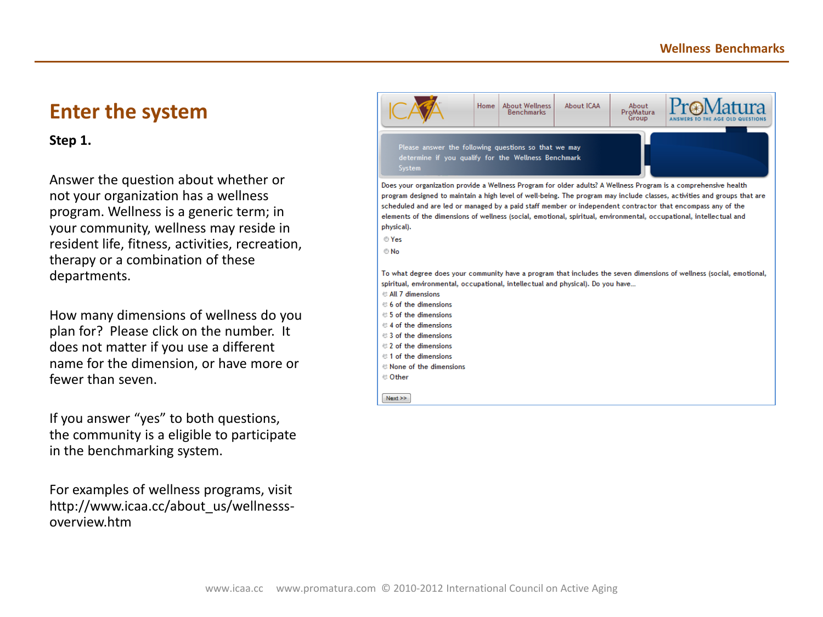## **Enter the system**

**Step 1.**

Answer the question about whether or not your organization has a wellness program. Wellness is a generic term; in your community, wellness may reside in resident life, fitness, activities, recreation, therapy or a combination of these departments.

How many dimensions of wellness do you plan for? Please click on the number. It does not matter if you use a different name for the dimension, or have more or fewer than seven.

If you answer "yes" to both questions, the community is a eligible to participate in the benchmarking system.

For examples of wellness programs, visit http://www.icaa.cc/about\_us/wellnesssoverview.htm

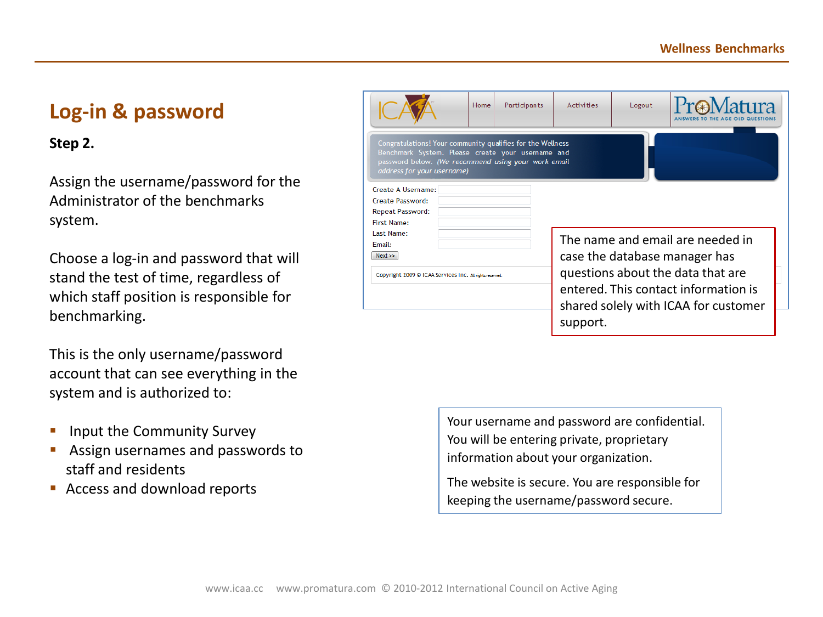# **Log-in & password**

#### **Step 2.**

Assign the username/password for the Administrator of the benchmarks system.

Choose a log-in and password that will stand the test of time, regardless of which staff position is responsible for benchmarking.

This is the only username/password account that can see everything in the system and is authorized to:

- **Input the Community Survey**
- **Assign usernames and passwords to** staff and residents
- **Access and download reports**

|                                                                                                                                                                                                      | Home | Participants | <b>Activities</b>                                                                                                             | Logout |  |  |
|------------------------------------------------------------------------------------------------------------------------------------------------------------------------------------------------------|------|--------------|-------------------------------------------------------------------------------------------------------------------------------|--------|--|--|
| Congratulations! Your community qualifies for the Wellness<br>Benchmark System. Please create your username and<br>password below. (We recommend using your work email<br>address for your username) |      |              |                                                                                                                               |        |  |  |
| Create A Username:                                                                                                                                                                                   |      |              |                                                                                                                               |        |  |  |
| <b>Create Password:</b>                                                                                                                                                                              |      |              |                                                                                                                               |        |  |  |
| <b>Repeat Password:</b>                                                                                                                                                                              |      |              |                                                                                                                               |        |  |  |
| <b>First Name:</b>                                                                                                                                                                                   |      |              |                                                                                                                               |        |  |  |
| Last Name:                                                                                                                                                                                           |      |              |                                                                                                                               |        |  |  |
| Fmail:                                                                                                                                                                                               |      |              | The name and email are needed in                                                                                              |        |  |  |
| Next                                                                                                                                                                                                 |      |              | case the database manager has                                                                                                 |        |  |  |
| Copyright 2009 © ICAA Services Inc. All rights reserved.                                                                                                                                             |      |              | questions about the data that are<br>entered. This contact information is<br>shared solely with ICAA for customer<br>support. |        |  |  |

Your username and password are confidential. You will be entering private, proprietary information about your organization.

The website is secure. You are responsible for keeping the username/password secure.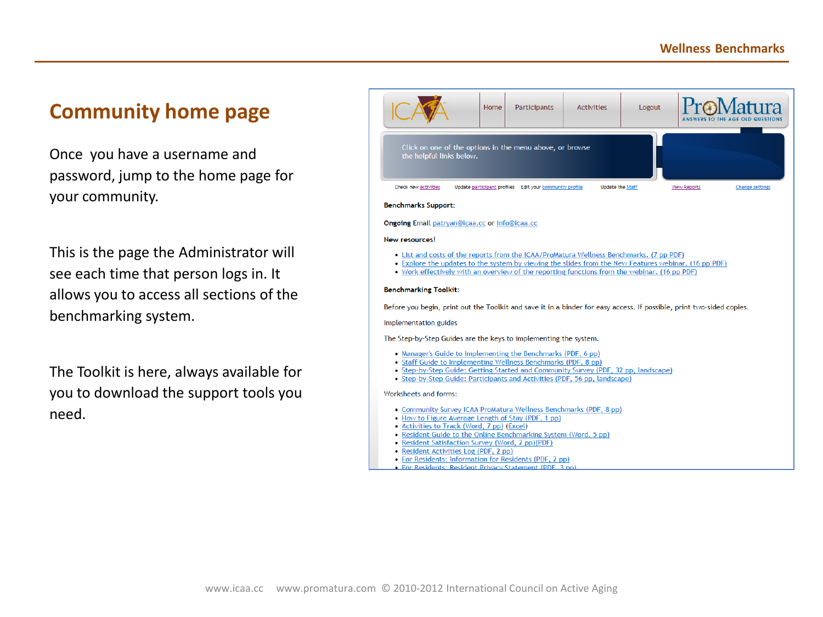# **Community home page**

Once you have a username and password, jump to the home page for your community.

This is the page the Administrator will see each time that person logs in. It allows you to access all sections of the benchmarking system.

The Toolkit is here, always available for you to download the support tools you need.

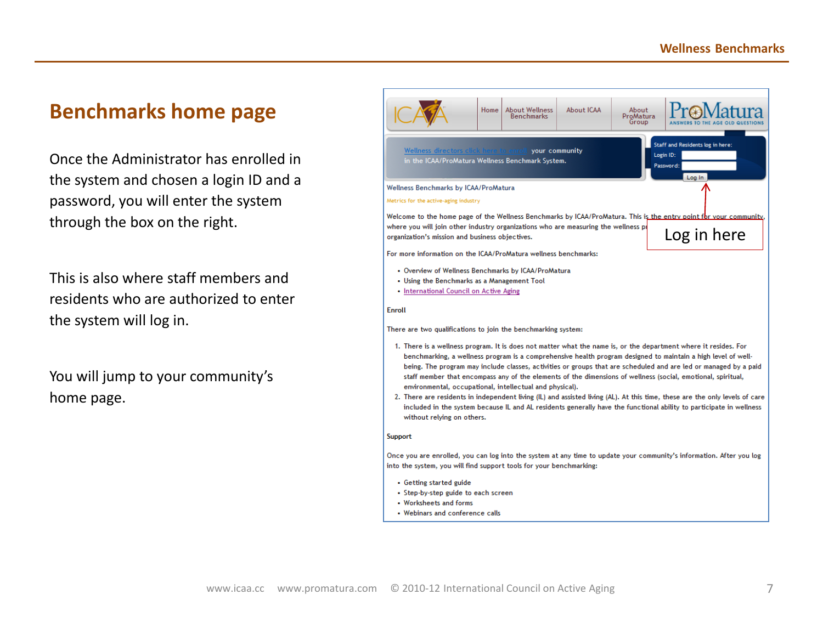### **Benchmarks home page**

Once the Administrator has enrolled in the system and chosen a login ID and a password, you will enter the system through the box on the right.

This is also where staff members and residents who are authorized to enter the system will log in.

You will jump to your community's home page.